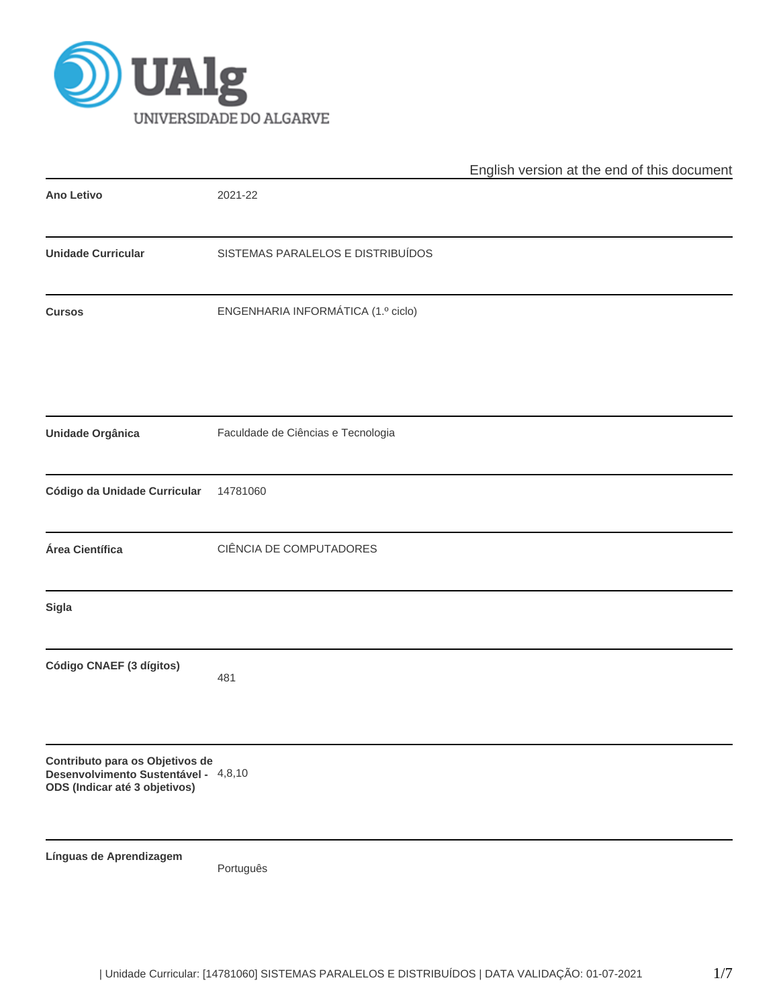

|                                                                                                          |                                    | English version at the end of this document |
|----------------------------------------------------------------------------------------------------------|------------------------------------|---------------------------------------------|
| <b>Ano Letivo</b>                                                                                        | 2021-22                            |                                             |
| <b>Unidade Curricular</b>                                                                                | SISTEMAS PARALELOS E DISTRIBUÍDOS  |                                             |
| <b>Cursos</b>                                                                                            | ENGENHARIA INFORMÁTICA (1.º ciclo) |                                             |
| <b>Unidade Orgânica</b>                                                                                  | Faculdade de Ciências e Tecnologia |                                             |
|                                                                                                          |                                    |                                             |
| Código da Unidade Curricular                                                                             | 14781060                           |                                             |
| Área Científica                                                                                          | CIÊNCIA DE COMPUTADORES            |                                             |
| <b>Sigla</b>                                                                                             |                                    |                                             |
| Código CNAEF (3 dígitos)                                                                                 | 481                                |                                             |
| Contributo para os Objetivos de<br>Desenvolvimento Sustentável - 4,8,10<br>ODS (Indicar até 3 objetivos) |                                    |                                             |
| Línguas de Aprendizagem                                                                                  | Português                          |                                             |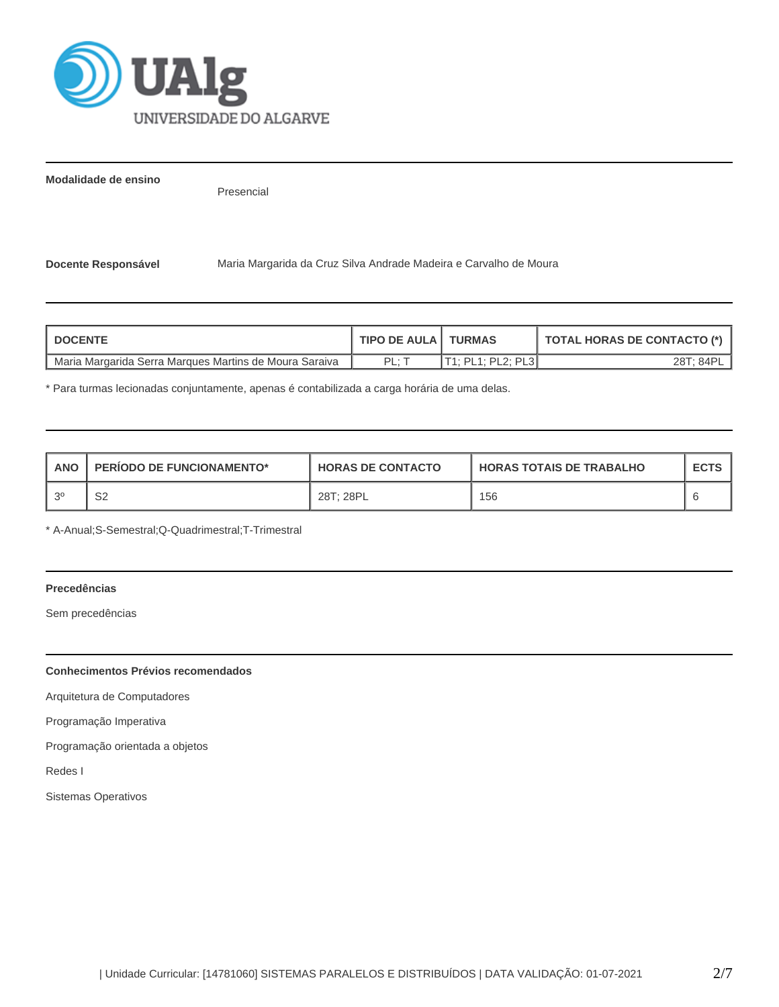

**Modalidade de ensino**

Presencial

**Docente Responsável** Maria Margarida da Cruz Silva Andrade Madeira e Carvalho de Moura

| <b>DOCENTE</b>                                         | TIPO DE AULA I TURMAS |                   | TOTAL HORAS DE CONTACTO (*) |
|--------------------------------------------------------|-----------------------|-------------------|-----------------------------|
| Maria Margarida Serra Marques Martins de Moura Saraiva | PI ·                  | T1: PL1: PL2: PL3 | 28T: 84Pi                   |

\* Para turmas lecionadas conjuntamente, apenas é contabilizada a carga horária de uma delas.

| <b>ANO</b> | <b>PERIODO DE FUNCIONAMENTO*</b> | <b>HORAS DE CONTACTO</b> | <b>HORAS TOTAIS DE TRABALHO</b> | <b>ECTS</b> |
|------------|----------------------------------|--------------------------|---------------------------------|-------------|
| $\Omega$   | ິ<br>ےت                          | 28T; 28PL                | 156                             |             |

\* A-Anual;S-Semestral;Q-Quadrimestral;T-Trimestral

# **Precedências**

Sem precedências

# **Conhecimentos Prévios recomendados**

Arquitetura de Computadores

Programação Imperativa

Programação orientada a objetos

Redes I

Sistemas Operativos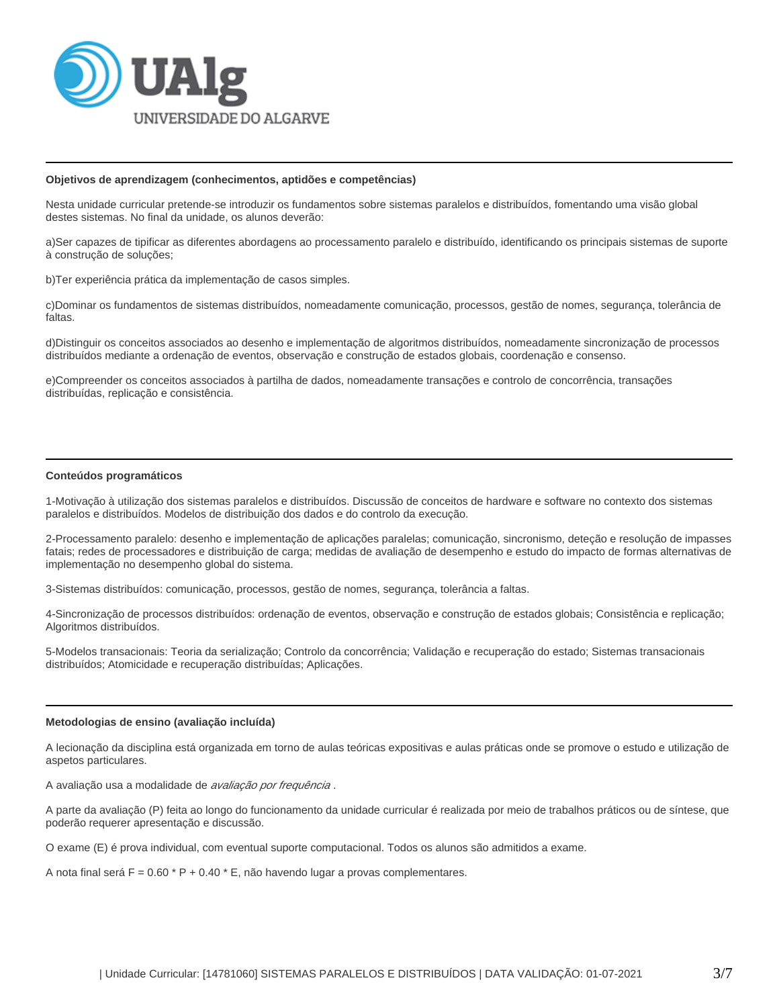

### **Objetivos de aprendizagem (conhecimentos, aptidões e competências)**

Nesta unidade curricular pretende-se introduzir os fundamentos sobre sistemas paralelos e distribuídos, fomentando uma visão global destes sistemas. No final da unidade, os alunos deverão:

a)Ser capazes de tipificar as diferentes abordagens ao processamento paralelo e distribuído, identificando os principais sistemas de suporte à construção de soluções;

b)Ter experiência prática da implementação de casos simples.

c)Dominar os fundamentos de sistemas distribuídos, nomeadamente comunicação, processos, gestão de nomes, segurança, tolerância de faltas.

d)Distinguir os conceitos associados ao desenho e implementação de algoritmos distribuídos, nomeadamente sincronização de processos distribuídos mediante a ordenação de eventos, observação e construção de estados globais, coordenação e consenso.

e)Compreender os conceitos associados à partilha de dados, nomeadamente transações e controlo de concorrência, transações distribuídas, replicação e consistência.

### **Conteúdos programáticos**

1-Motivação à utilização dos sistemas paralelos e distribuídos. Discussão de conceitos de hardware e software no contexto dos sistemas paralelos e distribuídos. Modelos de distribuição dos dados e do controlo da execução.

2-Processamento paralelo: desenho e implementação de aplicações paralelas; comunicação, sincronismo, deteção e resolução de impasses fatais; redes de processadores e distribuição de carga; medidas de avaliação de desempenho e estudo do impacto de formas alternativas de implementação no desempenho global do sistema.

3-Sistemas distribuídos: comunicação, processos, gestão de nomes, segurança, tolerância a faltas.

4-Sincronização de processos distribuídos: ordenação de eventos, observação e construção de estados globais; Consistência e replicação; Algoritmos distribuídos.

5-Modelos transacionais: Teoria da serialização; Controlo da concorrência; Validação e recuperação do estado; Sistemas transacionais distribuídos; Atomicidade e recuperação distribuídas; Aplicações.

#### **Metodologias de ensino (avaliação incluída)**

A lecionação da disciplina está organizada em torno de aulas teóricas expositivas e aulas práticas onde se promove o estudo e utilização de aspetos particulares.

A avaliação usa a modalidade de *avaliação por frequência*.

A parte da avaliação (P) feita ao longo do funcionamento da unidade curricular é realizada por meio de trabalhos práticos ou de síntese, que poderão requerer apresentação e discussão.

O exame (E) é prova individual, com eventual suporte computacional. Todos os alunos são admitidos a exame.

A nota final será  $F = 0.60 * P + 0.40 * E$ , não havendo lugar a provas complementares.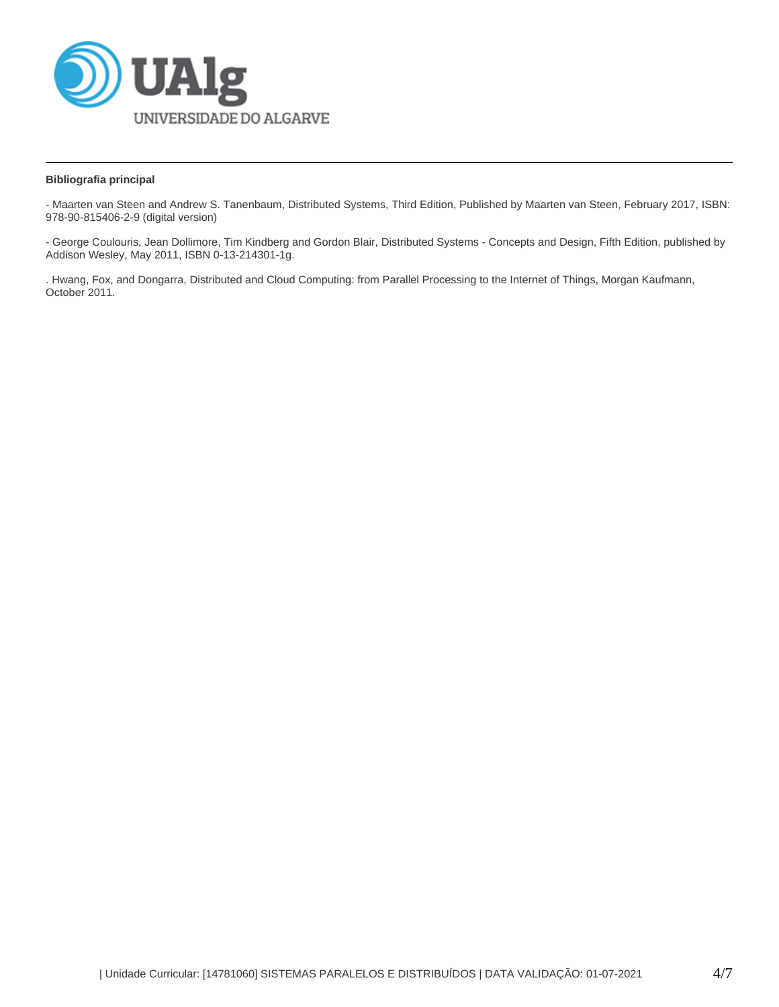

# **Bibliografia principal**

- Maarten van Steen and Andrew S. Tanenbaum, Distributed Systems, Third Edition, Published by Maarten van Steen, February 2017, ISBN: 978-90-815406-2-9 (digital version)

- George Coulouris, Jean Dollimore, Tim Kindberg and Gordon Blair, Distributed Systems - Concepts and Design, Fifth Edition, published by Addison Wesley, May 2011, ISBN 0-13-214301-1g.

. Hwang, Fox, and Dongarra, Distributed and Cloud Computing: from Parallel Processing to the Internet of Things, Morgan Kaufmann, October 2011.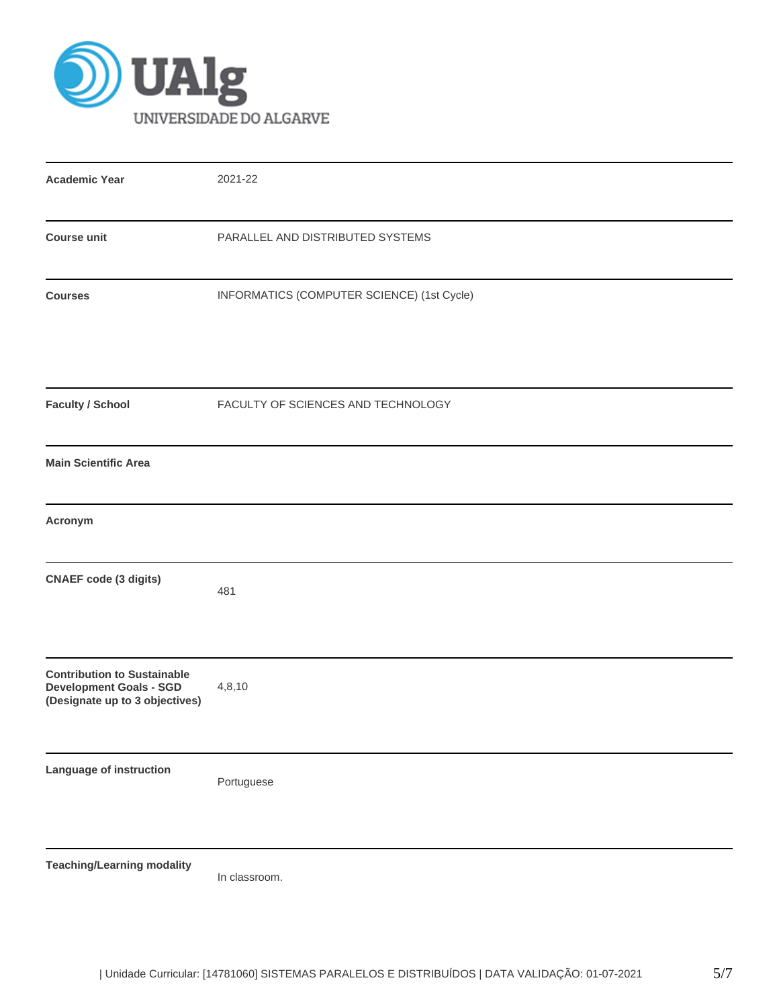

| <b>Academic Year</b>                                                                                   | 2021-22                                    |  |  |  |  |  |
|--------------------------------------------------------------------------------------------------------|--------------------------------------------|--|--|--|--|--|
| <b>Course unit</b>                                                                                     | PARALLEL AND DISTRIBUTED SYSTEMS           |  |  |  |  |  |
| <b>Courses</b>                                                                                         | INFORMATICS (COMPUTER SCIENCE) (1st Cycle) |  |  |  |  |  |
| <b>Faculty / School</b>                                                                                | FACULTY OF SCIENCES AND TECHNOLOGY         |  |  |  |  |  |
| <b>Main Scientific Area</b>                                                                            |                                            |  |  |  |  |  |
| Acronym                                                                                                |                                            |  |  |  |  |  |
| <b>CNAEF</b> code (3 digits)                                                                           | 481                                        |  |  |  |  |  |
| <b>Contribution to Sustainable</b><br><b>Development Goals - SGD</b><br>(Designate up to 3 objectives) | 4,8,10                                     |  |  |  |  |  |
| Language of instruction                                                                                | Portuguese                                 |  |  |  |  |  |
| <b>Teaching/Learning modality</b>                                                                      | In classroom.                              |  |  |  |  |  |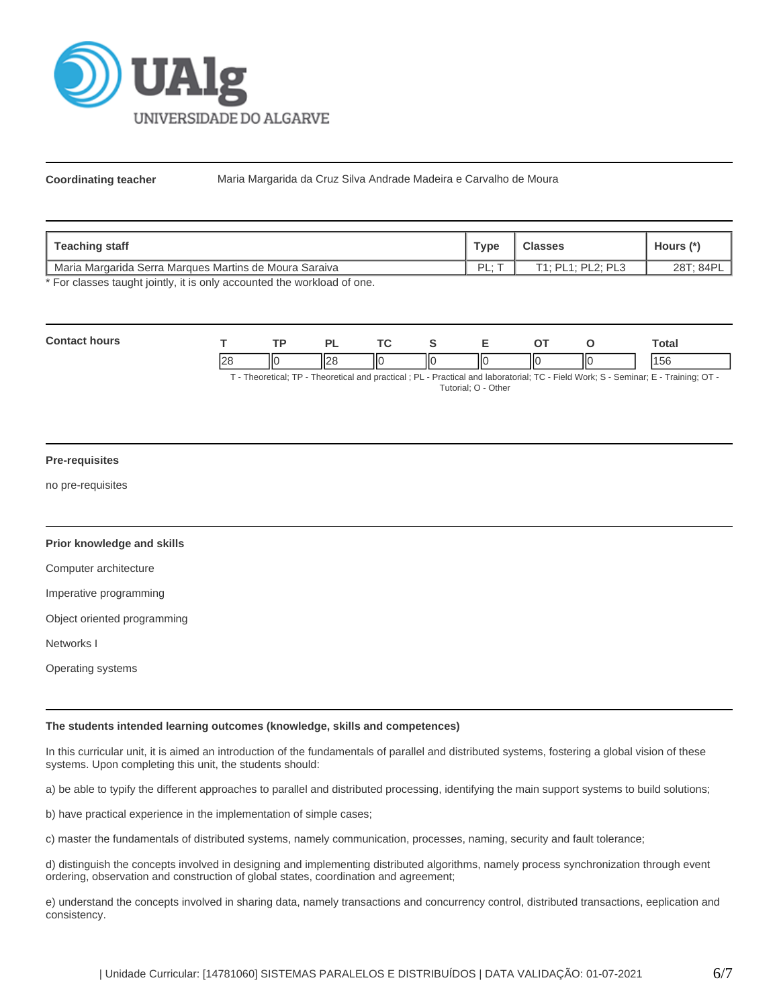

**Coordinating teacher** Maria Margarida da Cruz Silva Andrade Madeira e Carvalho de Moura

| Teaching staff                                           | <b>Type</b> | <b>Classes</b>    | Hours (*) |
|----------------------------------------------------------|-------------|-------------------|-----------|
| I Maria Margarida Serra Marques Martins de Moura Saraiva | ΡI<br>--    | T1: PL1: PL2: PL3 | 28T: 84PI |

\* For classes taught jointly, it is only accounted the workload of one.

| Con | TD. |                   | <u>те</u> |    |    |    | otal |
|-----|-----|-------------------|-----------|----|----|----|------|
|     | ''  | $\mathsf{L}$<br>ш | IЮ        | ШC | IЮ | ШΟ |      |

T - Theoretical; TP - Theoretical and practical ; PL - Practical and laboratorial; TC - Field Work; S - Seminar; E - Training; OT - Tutorial; O - Other

## **Pre-requisites**

no pre-requisites

## **Prior knowledge and skills**

Computer architecture

Imperative programming

Object oriented programming

Networks I

Operating systems

## **The students intended learning outcomes (knowledge, skills and competences)**

In this curricular unit, it is aimed an introduction of the fundamentals of parallel and distributed systems, fostering a global vision of these systems. Upon completing this unit, the students should:

a) be able to typify the different approaches to parallel and distributed processing, identifying the main support systems to build solutions;

b) have practical experience in the implementation of simple cases;

c) master the fundamentals of distributed systems, namely communication, processes, naming, security and fault tolerance;

d) distinguish the concepts involved in designing and implementing distributed algorithms, namely process synchronization through event ordering, observation and construction of global states, coordination and agreement;

e) understand the concepts involved in sharing data, namely transactions and concurrency control, distributed transactions, eeplication and consistency.